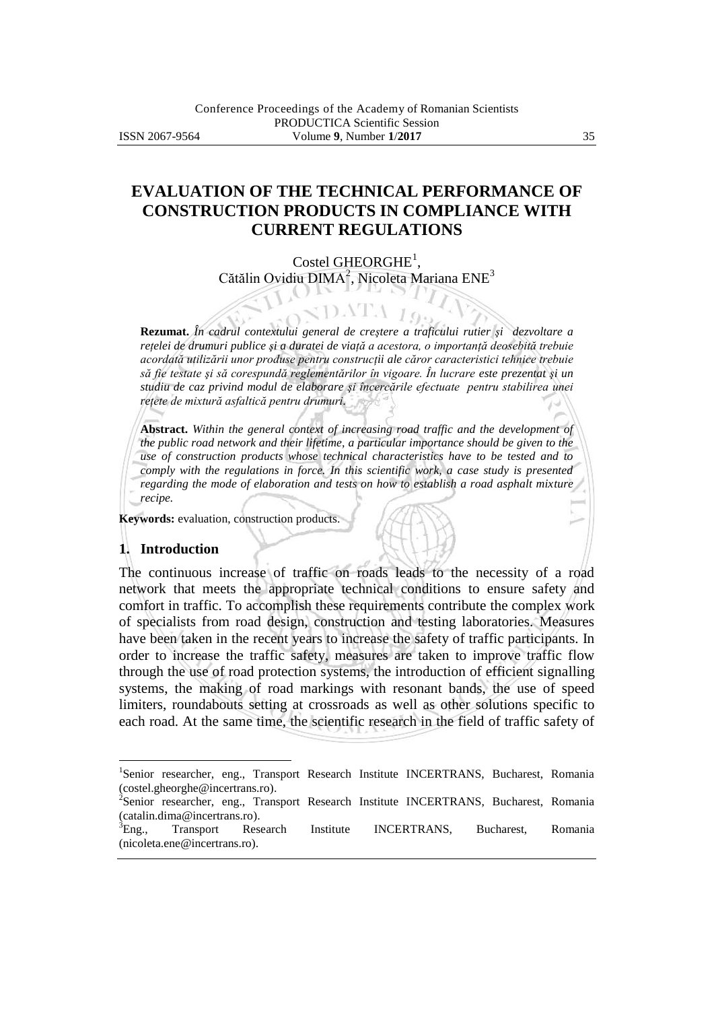# **EVALUATION OF THE TECHNICAL PERFORMANCE OF CONSTRUCTION PRODUCTS IN COMPLIANCE WITH CURRENT REGULATIONS**

Costel GHEORGHE<sup>1</sup>, Cătălin Ovidiu DIMA<sup>2</sup>, Nicoleta Mariana ENE<sup>3</sup>

DATA

 $10$ 

**Rezumat.** *În cadrul contextului general de creştere a traficului rutier şi dezvoltare a reţelei de drumuri publice şi a duratei de viaţă a acestora, o importanţă deosebită trebuie acordată utilizării unor produse pentru construcţii ale căror caracteristici tehnice trebuie să fie testate şi să corespundă reglementărilor în vigoare. În lucrare este prezentat şi un studiu de caz privind modul de elaborare şi încercările efectuate pentru stabilirea unei reţete de mixtură asfaltică pentru drumuri.*

**Abstract.** *Within the general context of increasing road traffic and the development of the public road network and their lifetime, a particular importance should be given to the use of construction products whose technical characteristics have to be tested and to comply with the regulations in force. In this scientific work, a case study is presented regarding the mode of elaboration and tests on how to establish a road asphalt mixture recipe.*

**Keywords:** evaluation, construction products.

#### **1. Introduction**

 $\overline{a}$ 

The continuous increase of traffic on roads leads to the necessity of a road network that meets the appropriate technical conditions to ensure safety and comfort in traffic. To accomplish these requirements contribute the complex work of specialists from road design, construction and testing laboratories. Measures have been taken in the recent years to increase the safety of traffic participants. In order to increase the traffic safety, measures are taken to improve traffic flow through the use of road protection systems, the introduction of efficient signalling systems, the making of road markings with resonant bands, the use of speed limiters, roundabouts setting at crossroads as well as other solutions specific to each road. At the same time, the scientific research in the field of traffic safety of

<sup>&</sup>lt;sup>1</sup>Senior researcher, eng., Transport Research Institute INCERTRANS, Bucharest, Romania (costel.gheorghe@incertrans.ro).

<sup>&</sup>lt;sup>2</sup>Senior researcher, eng., Transport Research Institute INCERTRANS, Bucharest, Romania (catalin.dima@incertrans.ro).

<sup>3</sup>Eng., Transport Research Institute INCERTRANS, Bucharest, Romania (nicoleta.ene@incertrans.ro).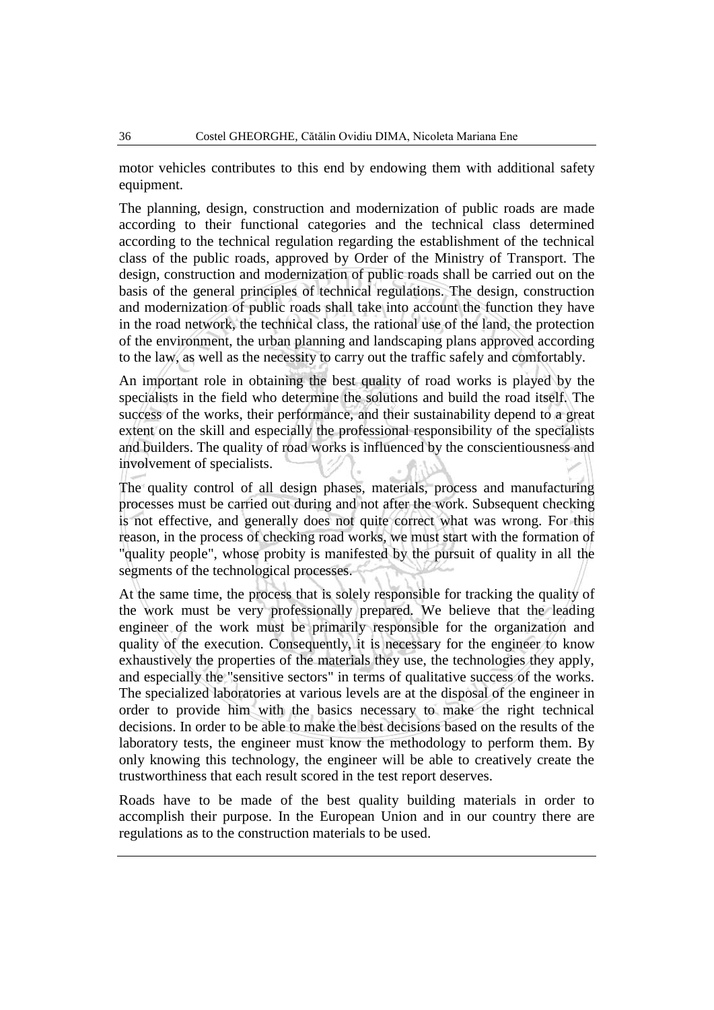motor vehicles contributes to this end by endowing them with additional safety equipment.

The planning, design, construction and modernization of public roads are made according to their functional categories and the technical class determined according to the technical regulation regarding the establishment of the technical class of the public roads, approved by Order of the Ministry of Transport. The design, construction and modernization of public roads shall be carried out on the basis of the general principles of technical regulations. The design, construction and modernization of public roads shall take into account the function they have in the road network, the technical class, the rational use of the land, the protection of the environment, the urban planning and landscaping plans approved according to the law, as well as the necessity to carry out the traffic safely and comfortably.

An important role in obtaining the best quality of road works is played by the specialists in the field who determine the solutions and build the road itself. The success of the works, their performance, and their sustainability depend to a great extent on the skill and especially the professional responsibility of the specialists and builders. The quality of road works is influenced by the conscientiousness and involvement of specialists.

The quality control of all design phases, materials, process and manufacturing processes must be carried out during and not after the work. Subsequent checking is not effective, and generally does not quite correct what was wrong. For this reason, in the process of checking road works, we must start with the formation of "quality people", whose probity is manifested by the pursuit of quality in all the segments of the technological processes.

At the same time, the process that is solely responsible for tracking the quality of the work must be very professionally prepared. We believe that the leading engineer of the work must be primarily responsible for the organization and quality of the execution. Consequently, it is necessary for the engineer to know exhaustively the properties of the materials they use, the technologies they apply, and especially the "sensitive sectors" in terms of qualitative success of the works. The specialized laboratories at various levels are at the disposal of the engineer in order to provide him with the basics necessary to make the right technical decisions. In order to be able to make the best decisions based on the results of the laboratory tests, the engineer must know the methodology to perform them. By only knowing this technology, the engineer will be able to creatively create the trustworthiness that each result scored in the test report deserves.

Roads have to be made of the best quality building materials in order to accomplish their purpose. In the European Union and in our country there are regulations as to the construction materials to be used.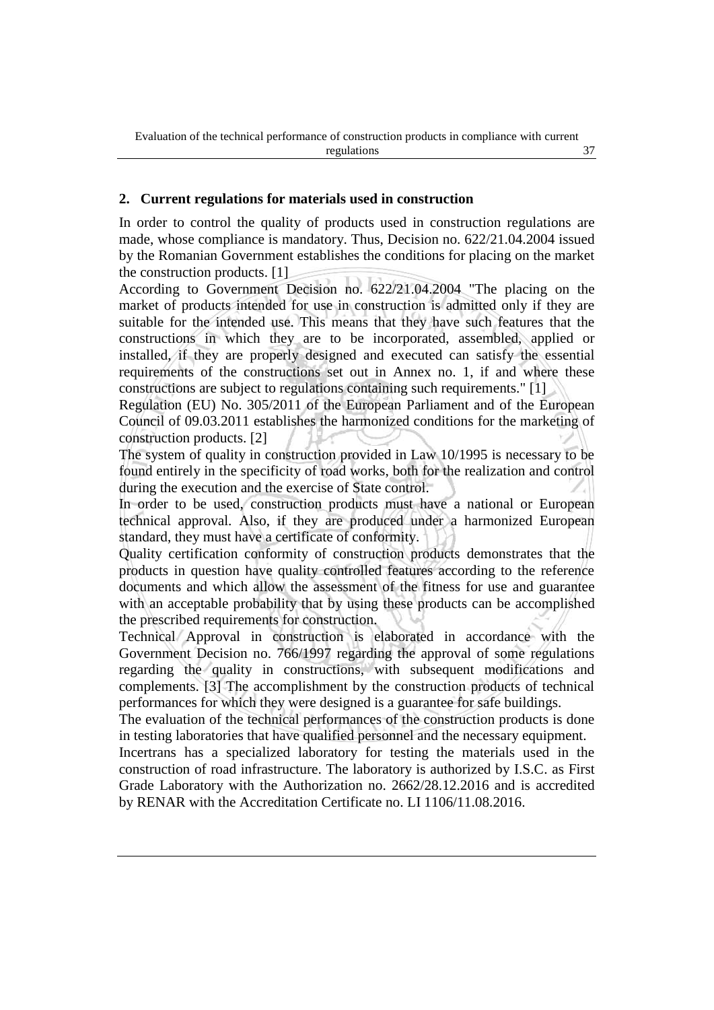#### **2. Current regulations for materials used in construction**

In order to control the quality of products used in construction regulations are made, whose compliance is mandatory. Thus, Decision no. 622/21.04.2004 issued by the Romanian Government establishes the conditions for placing on the market the construction products. [1]

According to Government Decision no. 622/21.04.2004 "The placing on the market of products intended for use in construction is admitted only if they are suitable for the intended use. This means that they have such features that the constructions in which they are to be incorporated, assembled, applied or installed, if they are properly designed and executed can satisfy the essential requirements of the constructions set out in Annex no. 1, if and where these constructions are subject to regulations containing such requirements." [1]

Regulation (EU) No. 305/2011 of the European Parliament and of the European Council of 09.03.2011 establishes the harmonized conditions for the marketing of construction products. [2]

The system of quality in construction provided in Law 10/1995 is necessary to be found entirely in the specificity of road works, both for the realization and control during the execution and the exercise of State control.

In order to be used, construction products must have a national or European technical approval. Also, if they are produced under a harmonized European standard, they must have a certificate of conformity.

Quality certification conformity of construction products demonstrates that the products in question have quality controlled features according to the reference documents and which allow the assessment of the fitness for use and guarantee with an acceptable probability that by using these products can be accomplished the prescribed requirements for construction.

Technical Approval in construction is elaborated in accordance with the Government Decision no. 766/1997 regarding the approval of some regulations regarding the quality in constructions, with subsequent modifications and complements. [3] The accomplishment by the construction products of technical performances for which they were designed is a guarantee for safe buildings.

The evaluation of the technical performances of the construction products is done in testing laboratories that have qualified personnel and the necessary equipment.

Incertrans has a specialized laboratory for testing the materials used in the construction of road infrastructure. The laboratory is authorized by I.S.C. as First Grade Laboratory with the Authorization no. 2662/28.12.2016 and is accredited by RENAR with the Accreditation Certificate no. LI 1106/11.08.2016.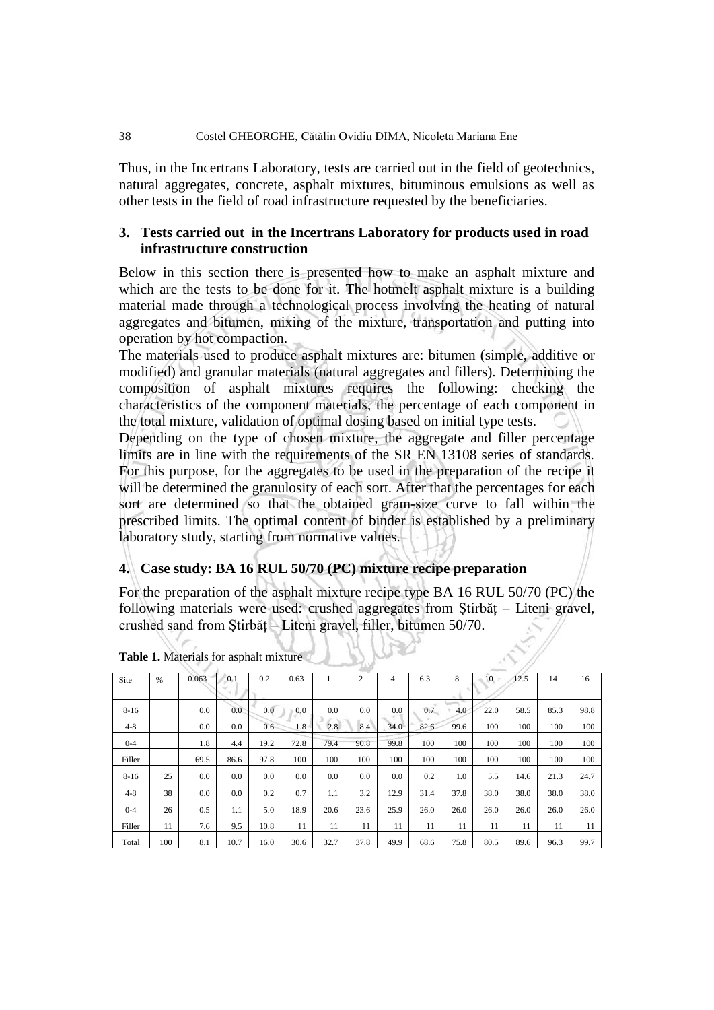Thus, in the Incertrans Laboratory, tests are carried out in the field of geotechnics, natural aggregates, concrete, asphalt mixtures, bituminous emulsions as well as other tests in the field of road infrastructure requested by the beneficiaries.

### **3. Tests carried out in the Incertrans Laboratory for products used in road infrastructure construction**

Below in this section there is presented how to make an asphalt mixture and which are the tests to be done for it. The hotmelt asphalt mixture is a building material made through a technological process involving the heating of natural aggregates and bitumen, mixing of the mixture, transportation and putting into operation by hot compaction.

The materials used to produce asphalt mixtures are: bitumen (simple, additive or modified) and granular materials (natural aggregates and fillers). Determining the composition of asphalt mixtures requires the following: checking the characteristics of the component materials, the percentage of each component in the total mixture, validation of optimal dosing based on initial type tests.

Depending on the type of chosen mixture, the aggregate and filler percentage limits are in line with the requirements of the SR EN 13108 series of standards. For this purpose, for the aggregates to be used in the preparation of the recipe it will be determined the granulosity of each sort. After that the percentages for each sort are determined so that the obtained gram-size curve to fall within the prescribed limits. The optimal content of binder is established by a preliminary laboratory study, starting from normative values.

# **4. Case study: BA 16 RUL 50/70 (PC) mixture recipe preparation**

For the preparation of the asphalt mixture recipe type BA 16 RUL 50/70 (PC) the following materials were used: crushed aggregates from Ştirbăț – Liteni gravel, crushed sand from Ştirbăţ – Liteni gravel, filler, bitumen 50/70.

| Site     | $\%$ | 0.063 | 0.1  | 0.2  | 0.63 |      | $\overline{2}$ | 4    | 6.3  | 8    | 10   | 12.5 | 14   | 16   |
|----------|------|-------|------|------|------|------|----------------|------|------|------|------|------|------|------|
|          |      |       | ×,   |      |      |      |                |      |      |      |      |      |      |      |
| $8 - 16$ |      | 0.0   | 0.0  | 0.0  | 0.0  | 0.0  | 0.0            | 0.0  | 0.7  | 4.0  | 22.0 | 58.5 | 85.3 | 98.8 |
| $4 - 8$  |      | 0.0   | 0.0  | 0.6  | 1.8  | 2.8  | 8.4            | 34.0 | 82.6 | 99.6 | 100  | 100  | 100  | 100  |
| $0 - 4$  |      | 1.8   | 4.4  | 19.2 | 72.8 | 79.4 | 90.8           | 99.8 | 100  | 100  | 100  | 100  | 100  | 100  |
| Filler   |      | 69.5  | 86.6 | 97.8 | 100  | 100  | 100            | 100  | 100  | 100  | 100  | 100  | 100  | 100  |
| $8 - 16$ | 25   | 0.0   | 0.0  | 0.0  | 0.0  | 0.0  | 0.0            | 0.0  | 0.2  | 1.0  | 5.5  | 14.6 | 21.3 | 24.7 |
| $4 - 8$  | 38   | 0.0   | 0.0  | 0.2  | 0.7  | 1.1  | 3.2            | 12.9 | 31.4 | 37.8 | 38.0 | 38.0 | 38.0 | 38.0 |
| $0 - 4$  | 26   | 0.5   | 1.1  | 5.0  | 18.9 | 20.6 | 23.6           | 25.9 | 26.0 | 26.0 | 26.0 | 26.0 | 26.0 | 26.0 |
| Filler   | 11   | 7.6   | 9.5  | 10.8 | 11   | 11   | 11             | 11   | 11   | 11   | 11   | 11   | 11   | 11   |
| Total    | 100  | 8.1   | 10.7 | 16.0 | 30.6 | 32.7 | 37.8           | 49.9 | 68.6 | 75.8 | 80.5 | 89.6 | 96.3 | 99.7 |

**Table 1.** Materials for asphalt mixture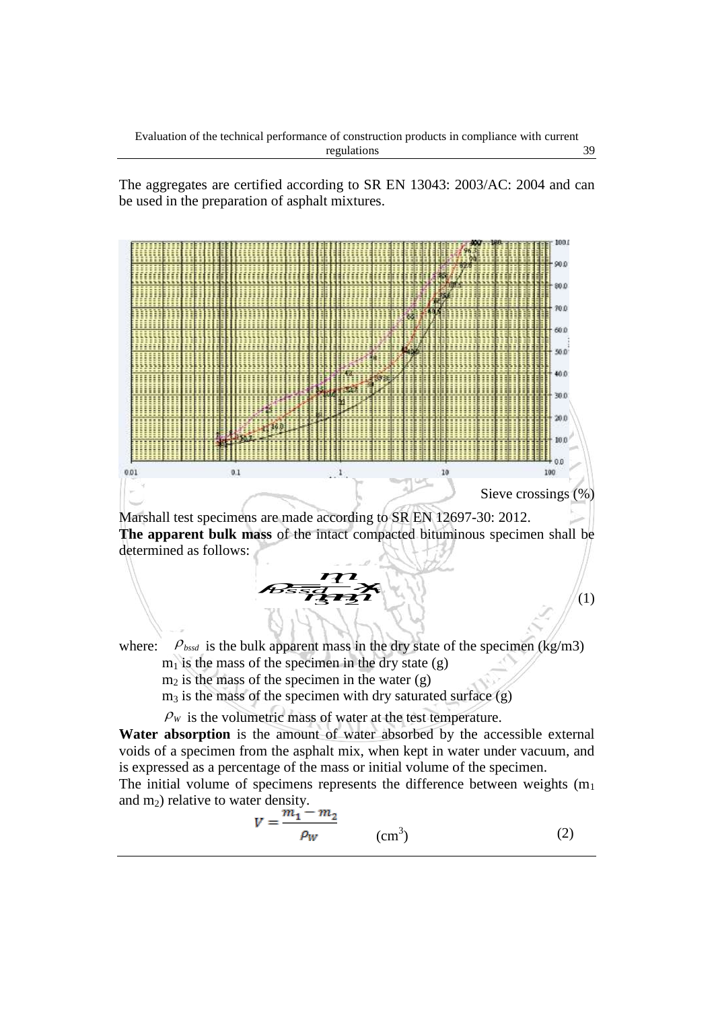The aggregates are certified according to SR EN 13043: 2003/AC: 2004 and can be used in the preparation of asphalt mixtures.



$$
V = \frac{m_1 - m_2}{\rho_W} \tag{2}
$$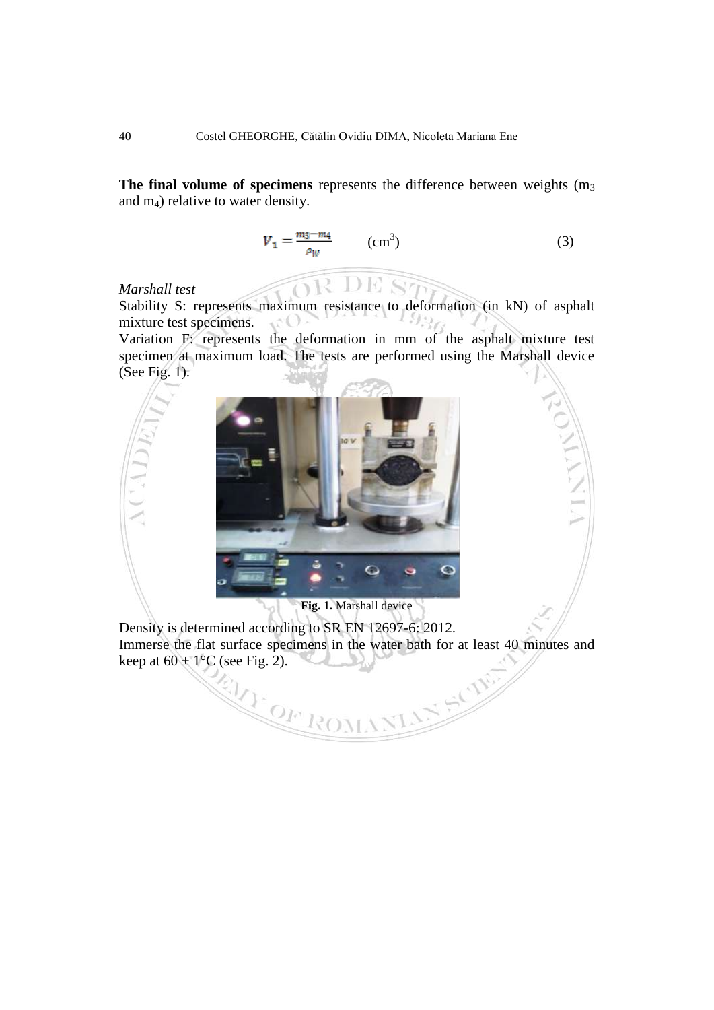**The final volume of specimens** represents the difference between weights (m<sub>3</sub>) and m4) relative to water density.

$$
V_1 = \frac{m_3 - m_4}{\rho_W} \qquad \text{(cm}^3\text{)}\tag{3}
$$

# *Marshall test*

Stability S: represents maximum resistance to deformation (in kN) of asphalt mixture test specimens.  $\Omega$ 

OR DE ST

Variation F: represents the deformation in mm of the asphalt mixture test specimen at maximum load. The tests are performed using the Marshall device (See Fig. 1).



**Fig. 1.** Marshall device

Density is determined according to SR EN 12697-6: 2012. Immerse the flat surface specimens in the water bath for at least 40 minutes and keep at 60  $\pm$  1°C (see Fig. 2).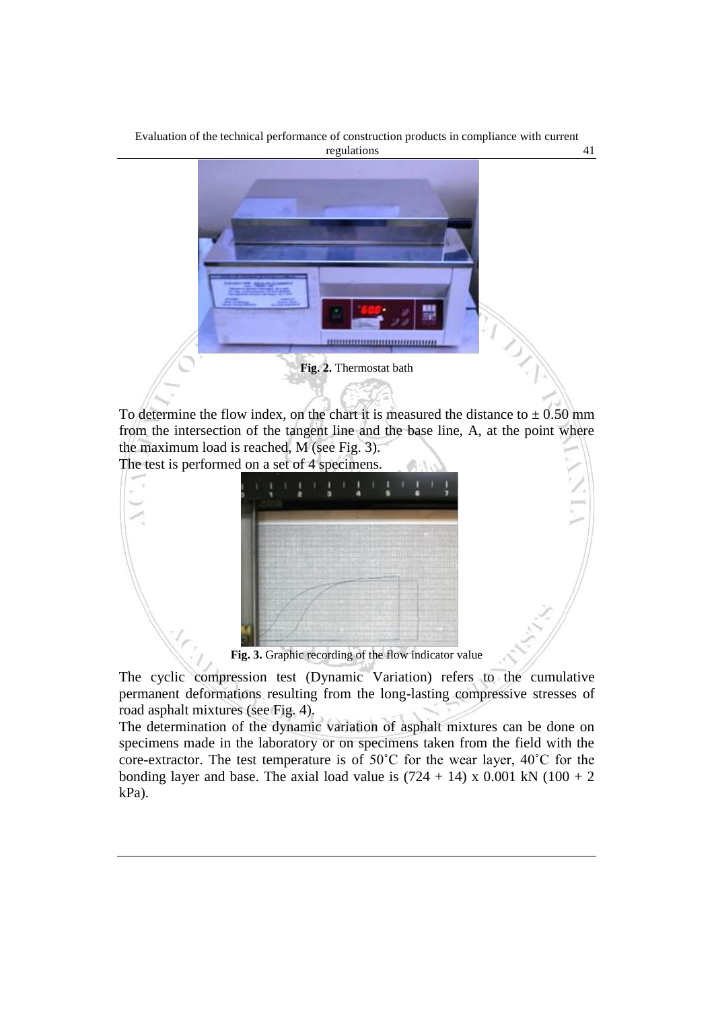Evaluation of the technical performance of construction products in compliance with current regulations 41



To determine the flow index, on the chart it is measured the distance to  $\pm$  0.50 mm from the intersection of the tangent line and the base line, A, at the point where the maximum load is reached, M (see Fig. 3).

The test is performed on a set of 4 specimens.



**Fig. 3.** Graphic recording of the flow indicator value

The cyclic compression test (Dynamic Variation) refers to the cumulative permanent deformations resulting from the long-lasting compressive stresses of road asphalt mixtures (see Fig. 4).

The determination of the dynamic variation of asphalt mixtures can be done on specimens made in the laboratory or on specimens taken from the field with the core-extractor. The test temperature is of 50˚C for the wear layer, 40˚C for the bonding layer and base. The axial load value is  $(724 + 14) \times 0.001$  kN  $(100 + 2)$ kPa).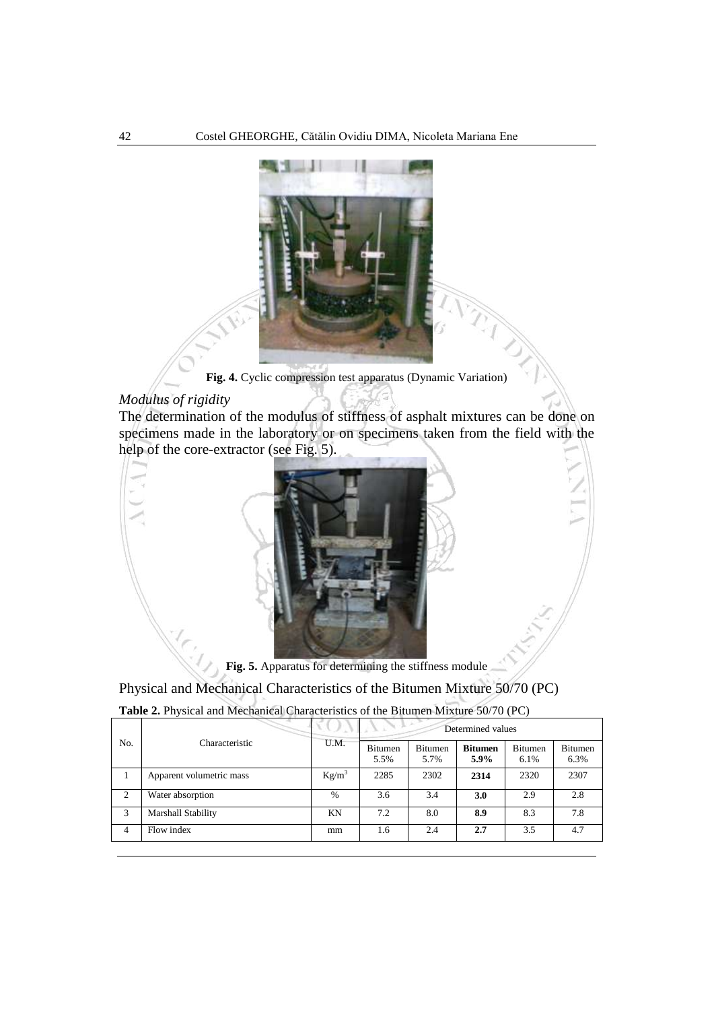

**Fig. 4.** Cyclic compression test apparatus (Dynamic Variation)

### *Modulus of rigidity*

The determination of the modulus of stiffness of asphalt mixtures can be done on specimens made in the laboratory or on specimens taken from the field with the help of the core-extractor (see Fig. 5).



**Fig. 5.** Apparatus for determining the stiffness module

Physical and Mechanical Characteristics of the Bitumen Mixture 50/70 (PC)

**Table 2.** Physical and Mechanical Characteristics of the Bitumen Mixture 50/70 (PC)

|                |                          | VU A<br>U.M. | ALA PO<br>Determined values |                        |                        |                 |                        |  |  |
|----------------|--------------------------|--------------|-----------------------------|------------------------|------------------------|-----------------|------------------------|--|--|
| No.            | Characteristic           |              | <b>Bitumen</b><br>5.5%      | <b>Bitumen</b><br>5.7% | <b>Bitumen</b><br>5.9% | Bitumen<br>6.1% | <b>Bitumen</b><br>6.3% |  |  |
|                | Apparent volumetric mass | $Kg/m^3$     | 2285                        | 2302                   | 2314                   | 2320            | 2307                   |  |  |
| 2              | Water absorption         | $\%$         | 3.6                         | 3.4                    | 3.0                    | 2.9             | 2.8                    |  |  |
| 3              | Marshall Stability       | KN           | 7.2                         | 8.0                    | 8.9                    | 8.3             | 7.8                    |  |  |
| $\overline{4}$ | Flow index               | mm           | 1.6                         | 2.4                    | 2.7                    | 3.5             | 4.7                    |  |  |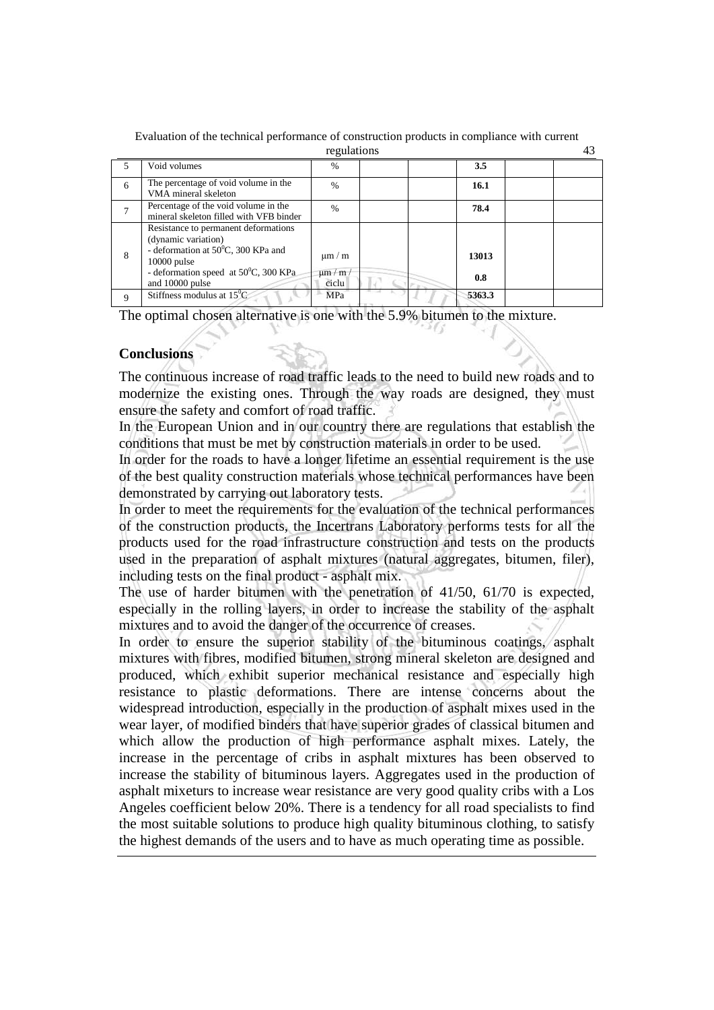|   |                                                                                                                                                                                                   | regulations                           |              | 43 |
|---|---------------------------------------------------------------------------------------------------------------------------------------------------------------------------------------------------|---------------------------------------|--------------|----|
|   | Void volumes                                                                                                                                                                                      | $\frac{0}{0}$                         | 3.5          |    |
| 6 | The percentage of void volume in the<br>VMA mineral skeleton                                                                                                                                      | $\frac{0}{0}$                         | 16.1         |    |
|   | Percentage of the void volume in the<br>mineral skeleton filled with VFB binder                                                                                                                   | $\%$                                  | 78.4         |    |
| 8 | Resistance to permanent deformations<br>(dynamic variation)<br>- deformation at $50^{\circ}$ C, 300 KPa and<br>$10000$ pulse<br>- deformation speed at $50^{\circ}$ C, 300 KPa<br>and 10000 pulse | $\mu$ m / m<br>$\mu$ m / m /<br>ciclu | 13013<br>0.8 |    |
| 9 | Stiffness modulus at $15^{\circ}$ C                                                                                                                                                               | MPa                                   | 5363.3       |    |

Evaluation of the technical performance of construction products in compliance with current

The optimal chosen alternative is one with the 5.9% bitumen to the mixture.

### **Conclusions**

The continuous increase of road traffic leads to the need to build new roads and to modernize the existing ones. Through the way roads are designed, they must ensure the safety and comfort of road traffic.

In the European Union and in our country there are regulations that establish the conditions that must be met by construction materials in order to be used.

In order for the roads to have a longer lifetime an essential requirement is the use of the best quality construction materials whose technical performances have been demonstrated by carrying out laboratory tests.

In order to meet the requirements for the evaluation of the technical performances of the construction products, the Incertrans Laboratory performs tests for all the products used for the road infrastructure construction and tests on the products used in the preparation of asphalt mixtures (natural aggregates, bitumen, filer), including tests on the final product - asphalt mix.

The use of harder bitumen with the penetration of 41/50, 61/70 is expected, especially in the rolling layers, in order to increase the stability of the asphalt mixtures and to avoid the danger of the occurrence of creases.

In order to ensure the superior stability of the bituminous coatings, asphalt mixtures with fibres, modified bitumen, strong mineral skeleton are designed and produced, which exhibit superior mechanical resistance and especially high resistance to plastic deformations. There are intense concerns about the widespread introduction, especially in the production of asphalt mixes used in the wear layer, of modified binders that have superior grades of classical bitumen and which allow the production of high performance asphalt mixes. Lately, the increase in the percentage of cribs in asphalt mixtures has been observed to increase the stability of bituminous layers. Aggregates used in the production of asphalt mixeturs to increase wear resistance are very good quality cribs with a Los Angeles coefficient below 20%. There is a tendency for all road specialists to find the most suitable solutions to produce high quality bituminous clothing, to satisfy the highest demands of the users and to have as much operating time as possible.